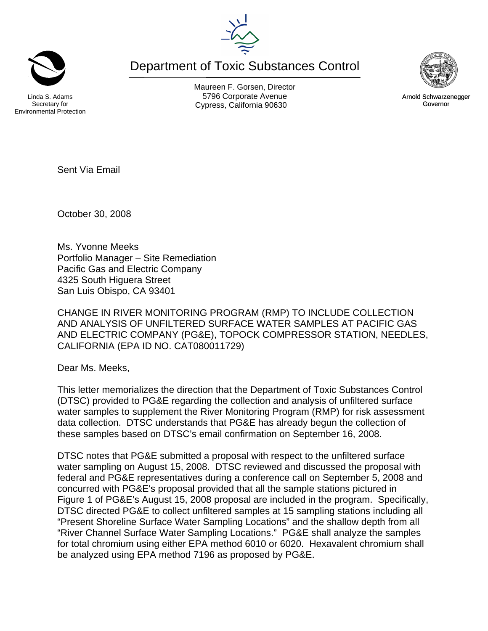

CHANGE IN RIVER MONITORING PROGRAM (RMP) TO INCLUDE COLLECTION AND ANALYSIS OF UNFILTERED SURFACE WATER SAMPLES AT PACIFIC GAS AND ELECTRIC COMPANY (PG&E), TOPOCK COMPRESSOR STATION, NEEDLES, CALIFORNIA (EPA ID NO. CAT080011729)

Dear Ms. Meeks,

Sent Via Email

October 30, 2008

Ms. Yvonne Meeks

4325 South Higuera Street San Luis Obispo, CA 93401

This letter memorializes the direction that the Department of Toxic Substances Control (DTSC) provided to PG&E regarding the collection and analysis of unfiltered surface water samples to supplement the River Monitoring Program (RMP) for risk assessment data collection. DTSC understands that PG&E has already begun the collection of these samples based on DTSC's email confirmation on September 16, 2008.

DTSC notes that PG&E submitted a proposal with respect to the unfiltered surface water sampling on August 15, 2008. DTSC reviewed and discussed the proposal with federal and PG&E representatives during a conference call on September 5, 2008 and concurred with PG&E's proposal provided that all the sample stations pictured in Figure 1 of PG&E's August 15, 2008 proposal are included in the program. Specifically, DTSC directed PG&E to collect unfiltered samples at 15 sampling stations including all "Present Shoreline Surface Water Sampling Locations" and the shallow depth from all "River Channel Surface Water Sampling Locations." PG&E shall analyze the samples for total chromium using either EPA method 6010 or 6020. Hexavalent chromium shall be analyzed using EPA method 7196 as proposed by PG&E.



Maureen F. Gorsen, Director Linda S. Adams **Example 20** Corporate Avenue Christian Avenue 5796 Corporate Avenue Cypress, California 90630 **Canadian Cypress**, California 90630

Department of Toxic Substances Control



Arnold Schwarzenegger Governor